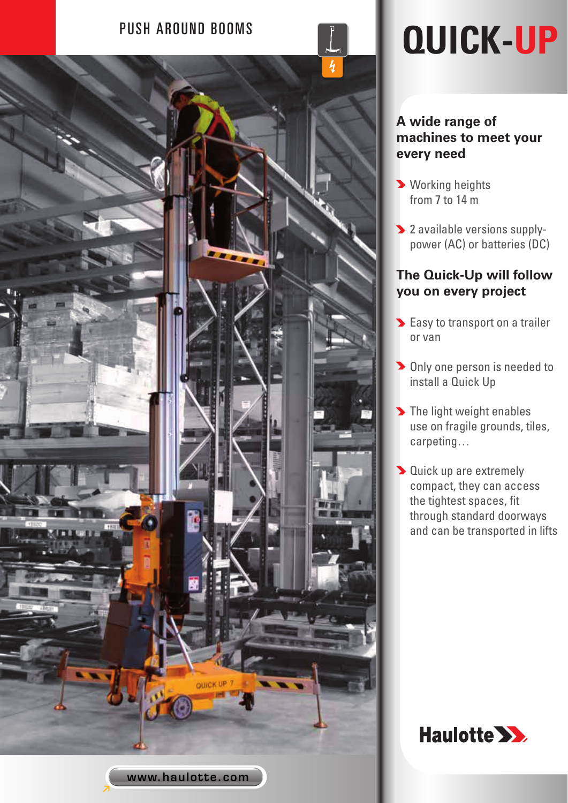

# PUSH AROUND BOOMS **QUICK-UP**

### **A wide range of machines to meet your every need**

- **> Working heights** from 7 to 14 m
- 2 available versions supplypower (AC) or batteries (DC)

## **The Quick-Up will follow you on every project**

- **Easy to transport on a trailer** or van
- **Diamonda Properson** is needed to install a Quick Up
- The light weight enables use on fragile grounds, tiles, carpeting…
- **D** Quick up are extremely compact, they can access the tightest spaces, fit through standard doorways and can be transported in lifts